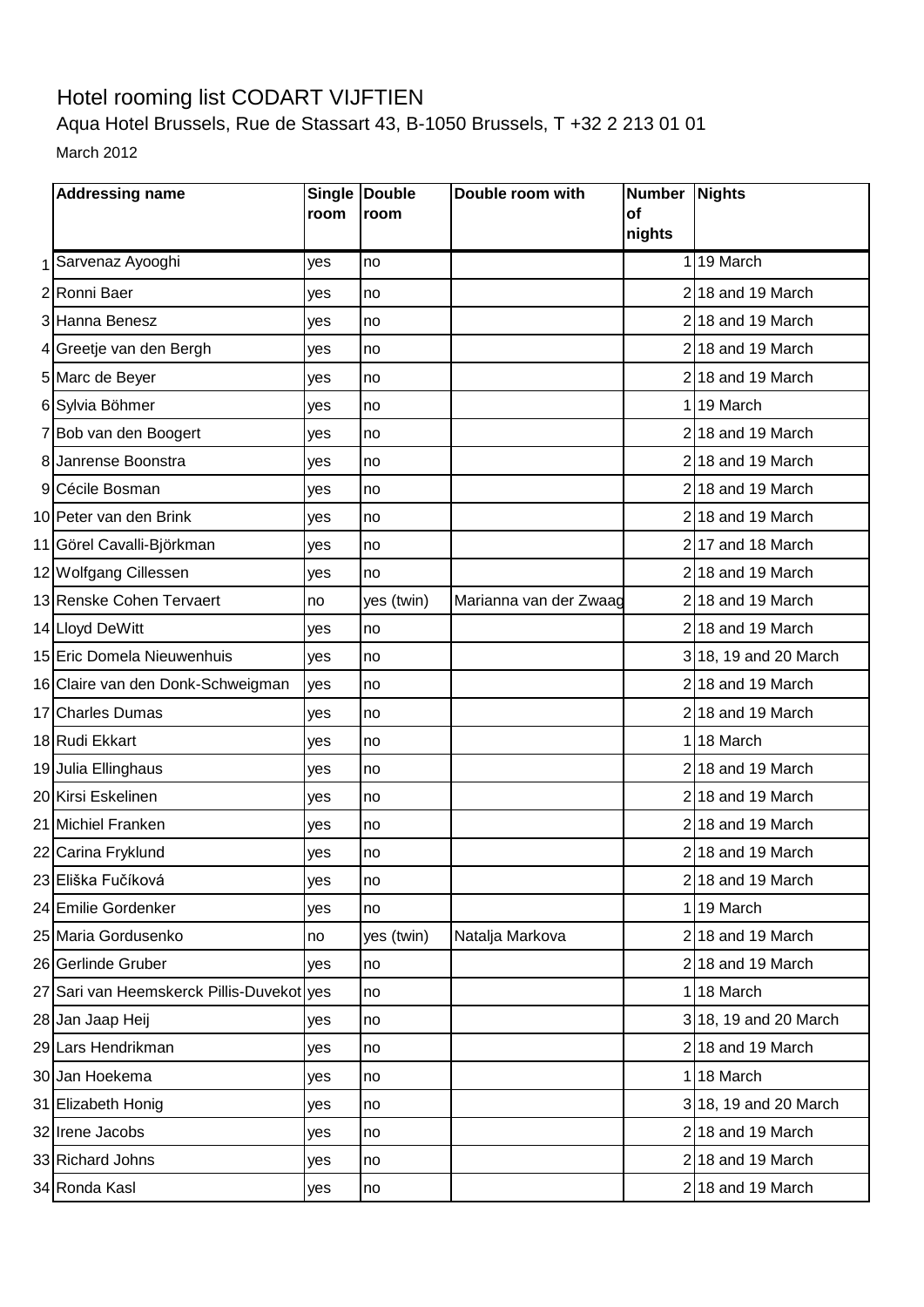## Hotel rooming list CODART VIJFTIEN

Aqua Hotel Brussels, Rue de Stassart 43, B-1050 Brussels, T +32 2 213 01 01 March 2012

| <b>Addressing name</b>                    | room | Single Double<br>room | Double room with       | Number Nights<br><b>of</b> |                       |
|-------------------------------------------|------|-----------------------|------------------------|----------------------------|-----------------------|
|                                           |      |                       |                        | nights                     |                       |
| Sarvenaz Ayooghi                          | yes  | no                    |                        |                            | 119 March             |
| 2Ronni Baer                               | yes  | no                    |                        |                            | $2 18$ and 19 March   |
| 3 Hanna Benesz                            | yes  | no                    |                        |                            | $2 18$ and 19 March   |
| 4 Greetje van den Bergh                   | yes  | no                    |                        |                            | $2 18$ and 19 March   |
| 5 Marc de Beyer                           | yes  | no                    |                        |                            | 218 and 19 March      |
| 6 Sylvia Böhmer                           | yes  | no                    |                        |                            | 119 March             |
| 7 Bob van den Boogert                     | yes  | no                    |                        |                            | $2 18$ and 19 March   |
| 8 Janrense Boonstra                       | yes  | no                    |                        |                            | $2 18$ and 19 March   |
| 9 Cécile Bosman                           | yes  | no                    |                        |                            | $2 18$ and 19 March   |
| 10 Peter van den Brink                    | yes  | no                    |                        |                            | $2 18$ and 19 March   |
| 11 Görel Cavalli-Björkman                 | yes  | no                    |                        |                            | $2 17$ and 18 March   |
| 12 Wolfgang Cillessen                     | yes  | no                    |                        |                            | $2 18$ and 19 March   |
| 13 Renske Cohen Tervaert                  | no   | yes (twin)            | Marianna van der Zwaag |                            | $2 18$ and 19 March   |
| 14 Lloyd DeWitt                           | yes  | no                    |                        |                            | $2 18$ and 19 March   |
| 15 Eric Domela Nieuwenhuis                | yes  | no                    |                        |                            | 3 18, 19 and 20 March |
| 16 Claire van den Donk-Schweigman         | yes  | no                    |                        |                            | $2 18$ and 19 March   |
| 17 Charles Dumas                          | yes  | no                    |                        |                            | $2 18$ and 19 March   |
| 18 Rudi Ekkart                            | yes  | no                    |                        |                            | 118 March             |
| 19 Julia Ellinghaus                       | yes  | no                    |                        |                            | $2 18$ and 19 March   |
| 20 Kirsi Eskelinen                        | yes  | no                    |                        |                            | $2 18$ and 19 March   |
| 21 Michiel Franken                        | yes  | no                    |                        |                            | $2 18$ and 19 March   |
| 22 Carina Fryklund                        | yes  | no                    |                        |                            | 218 and 19 March      |
| 23 Eliška Fučíková                        | yes  | no                    |                        |                            | 218 and 19 March      |
| 24 Emilie Gordenker                       | yes  | no                    |                        |                            | 119 March             |
| 25 Maria Gordusenko                       | no   | yes (twin)            | Natalja Markova        |                            | $2 18$ and 19 March   |
| 26 Gerlinde Gruber                        | yes  | no                    |                        |                            | $2 18$ and 19 March   |
| 27 Sari van Heemskerck Pillis-Duvekot ves |      | no                    |                        |                            | 118 March             |
| 28 Jan Jaap Heij                          | yes  | no                    |                        |                            | 3 18, 19 and 20 March |
| 29 Lars Hendrikman                        | yes  | no                    |                        |                            | $2 18$ and 19 March   |
| 30 Jan Hoekema                            | yes  | no                    |                        |                            | 118 March             |
| 31 Elizabeth Honig                        | yes  | no                    |                        |                            | 3 18, 19 and 20 March |
| 32 Irene Jacobs                           | yes  | no                    |                        |                            | $2 18$ and 19 March   |
| 33 Richard Johns                          | yes  | no                    |                        |                            | 218 and 19 March      |
| 34 Ronda Kasl                             | yes  | no                    |                        |                            | $2 18$ and 19 March   |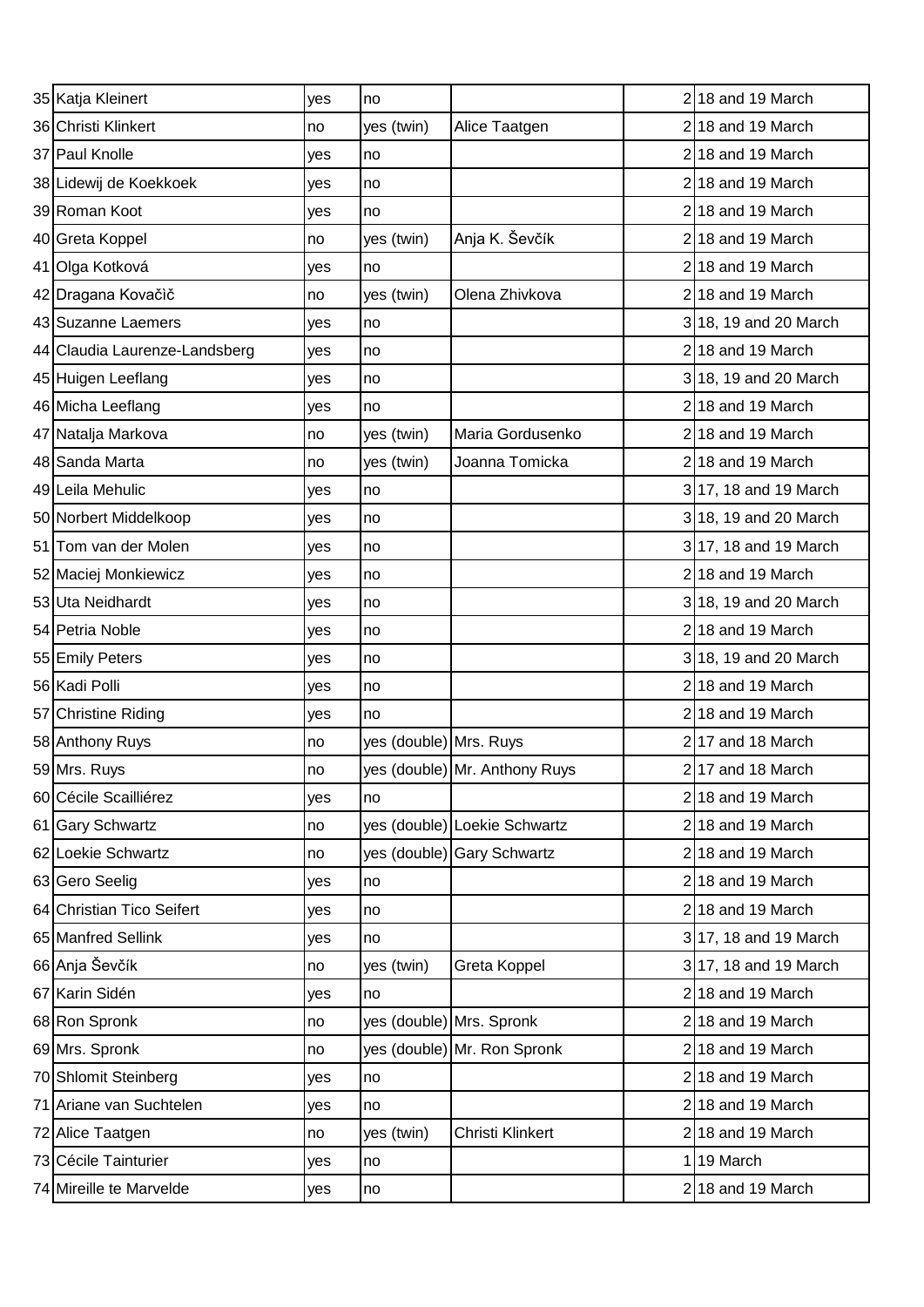| 35 Katja Kleinert             | yes | no                       |                               | 218 and 19 March      |
|-------------------------------|-----|--------------------------|-------------------------------|-----------------------|
| 36 Christi Klinkert           | no  | yes (twin)               | Alice Taatgen                 | $2 18$ and 19 March   |
| 37 Paul Knolle                | yes | no                       |                               | 218 and 19 March      |
| 38 Lidewij de Koekkoek        | yes | no                       |                               | $2$ 18 and 19 March   |
| 39 Roman Koot                 | yes | no                       |                               | 218 and 19 March      |
| 40 Greta Koppel               | no  | yes (twin)               | Anja K. Ševčík                | 218 and 19 March      |
| 41 Olga Kotková               | yes | no                       |                               | $2 18$ and 19 March   |
| 42 Dragana Kovačič            | no  | yes (twin)               | Olena Zhivkova                | 218 and 19 March      |
| 43 Suzanne Laemers            | yes | no                       |                               | 318, 19 and 20 March  |
| 44 Claudia Laurenze-Landsberg | yes | no                       |                               | 218 and 19 March      |
| 45 Huigen Leeflang            | yes | no                       |                               | 3 18, 19 and 20 March |
| 46 Micha Leeflang             | yes | no                       |                               | $2 18$ and 19 March   |
| 47 Natalja Markova            | no  | yes (twin)               | Maria Gordusenko              | 218 and 19 March      |
| 48 Sanda Marta                | no  | yes (twin)               | Joanna Tomicka                | 218 and 19 March      |
| 49 Leila Mehulic              | yes | no                       |                               | 3 17, 18 and 19 March |
| 50 Norbert Middelkoop         | yes | no                       |                               | 3 18, 19 and 20 March |
| 51 Tom van der Molen          | yes | no                       |                               | 3 17, 18 and 19 March |
| 52 Maciej Monkiewicz          | yes | no                       |                               | $2$ 18 and 19 March   |
| 53 Uta Neidhardt              | yes | no                       |                               | 3 18, 19 and 20 March |
| 54 Petria Noble               | yes | no                       |                               | 218 and 19 March      |
| 55 Emily Peters               | yes | no                       |                               | 3 18, 19 and 20 March |
| 56 Kadi Polli                 | yes | no                       |                               | 218 and 19 March      |
| 57 Christine Riding           | yes | no                       |                               | 218 and 19 March      |
| 58 Anthony Ruys               | no  | yes (double) Mrs. Ruys   |                               | $2$ 17 and 18 March   |
| 59 Mrs. Ruys                  | Ino |                          | yes (double) Mr. Anthony Ruys | 217 and 18 March      |
| 60 Cécile Scailliérez         | yes | no                       |                               | $2 18$ and 19 March   |
| 61 Gary Schwartz              | no  |                          | yes (double) Loekie Schwartz  | $2 18$ and 19 March   |
| 62 Loekie Schwartz            | no  |                          | yes (double) Gary Schwartz    | 218 and 19 March      |
| 63 Gero Seelig                | yes | no                       |                               | $2 18$ and 19 March   |
| 64 Christian Tico Seifert     | yes | no                       |                               | $2 18$ and 19 March   |
| 65 Manfred Sellink            | yes | no                       |                               | 3 17, 18 and 19 March |
| 66 Anja Ševčík                | no  | yes (twin)               | Greta Koppel                  | 3 17, 18 and 19 March |
| 67 Karin Sidén                | yes | no                       |                               | 218 and 19 March      |
| 68 Ron Spronk                 | no  | yes (double) Mrs. Spronk |                               | $2 18$ and 19 March   |
| 69 Mrs. Spronk                | no  |                          | yes (double) Mr. Ron Spronk   | $2 18$ and 19 March   |
| 70 Shlomit Steinberg          | yes | no                       |                               | $2 18$ and 19 March   |
| 71 Ariane van Suchtelen       | yes | no                       |                               | 218 and 19 March      |
| 72 Alice Taatgen              | no  | yes (twin)               | Christi Klinkert              | $2 18$ and 19 March   |
| 73 Cécile Tainturier          | yes | no                       |                               | 19 March              |
| 74 Mireille te Marvelde       | yes | no                       |                               | $2$ 18 and 19 March   |